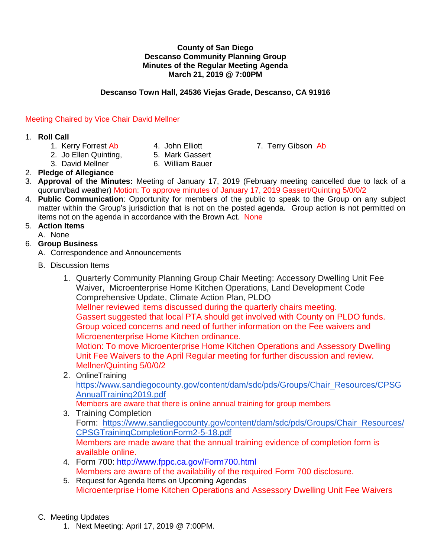#### **County of San Diego Descanso Community Planning Group Minutes of the Regular Meeting Agenda March 21, 2019 @ 7:00PM**

## **Descanso Town Hall, 24536 Viejas Grade, Descanso, CA 91916**

## Meeting Chaired by Vice Chair David Mellner

### 1. **Roll Call**

- 
- 2. Jo Ellen Quinting, 5. Mark Gassert
- -
- 3. David Mellner 6. William Bauer
- 2. **Pledge of Allegiance**
- 3. **Approval of the Minutes:** Meeting of January 17, 2019 (February meeting cancelled due to lack of a quorum/bad weather) Motion: To approve minutes of January 17, 2019 Gassert/Quinting 5/0/0/2
- 4. **Public Communication**: Opportunity for members of the public to speak to the Group on any subject matter within the Group's jurisdiction that is not on the posted agenda. Group action is not permitted on items not on the agenda in accordance with the Brown Act. None

# 5. **Action Items**

A. None

## 6. **Group Business**

A. Correspondence and Announcements

- B. Discussion Items
	- 1. Quarterly Community Planning Group Chair Meeting: Accessory Dwelling Unit Fee Waiver, Microenterprise Home Kitchen Operations, Land Development Code Comprehensive Update, Climate Action Plan, PLDO Mellner reviewed items discussed during the quarterly chairs meeting. Gassert suggested that local PTA should get involved with County on PLDO funds. Group voiced concerns and need of further information on the Fee waivers and Microenenterprise Home Kitchen ordinance. Motion: To move Microenterprise Home Kitchen Operations and Assessory Dwelling Unit Fee Waivers to the April Regular meeting for further discussion and review. Mellner/Quinting 5/0/0/2 2. OnlineTraining

[https://www.sandiegocounty.gov/content/dam/sdc/pds/Groups/Chair\\_Resources/CPSG](https://www.sandiegocounty.gov/content/dam/sdc/pds/Groups/Chair_Resources/CPSGAnnualTraining2019.pdf) [AnnualTraining2019.pdf](https://www.sandiegocounty.gov/content/dam/sdc/pds/Groups/Chair_Resources/CPSGAnnualTraining2019.pdf)

Members are aware that there is online annual training for group members

- 3. Training Completion Form: [https://www.sandiegocounty.gov/content/dam/sdc/pds/Groups/Chair\\_Resources/](https://www.sandiegocounty.gov/content/dam/sdc/pds/Groups/Chair_Resources/CPSGTrainingCompletionForm2-5-18.pdf) [CPSGTrainingCompletionForm2-5-18.pdf](https://www.sandiegocounty.gov/content/dam/sdc/pds/Groups/Chair_Resources/CPSGTrainingCompletionForm2-5-18.pdf) Members are made aware that the annual training evidence of completion form is available online.
- 4. Form 700: <http://www.fppc.ca.gov/Form700.html> Members are aware of the availability of the required Form 700 disclosure.
- 5. Request for Agenda Items on Upcoming Agendas Microenterprise Home Kitchen Operations and Assessory Dwelling Unit Fee Waivers
- C. Meeting Updates
	- 1. Next Meeting: April 17, 2019 @ 7:00PM.

1. Kerry Forrest Ab 4. John Elliott 7. Terry Gibson Ab